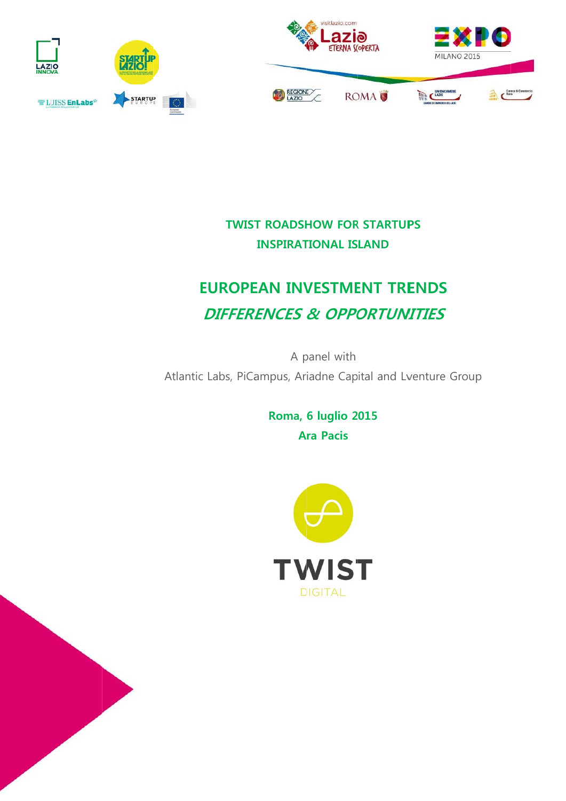

# **TWIST ROADSHOW FOR STARTUPS INSPIRATIONAL ISLAND**

# **EUROPEAN INVESTMENT TRENDS DIFFERENCES & OPPORTUNITIES**

A panel with Atlantic Labs, PiCampus, Ariadne Capital and Lventure Group

> Roma, 6 luglio 2015 **Ara Pacis**

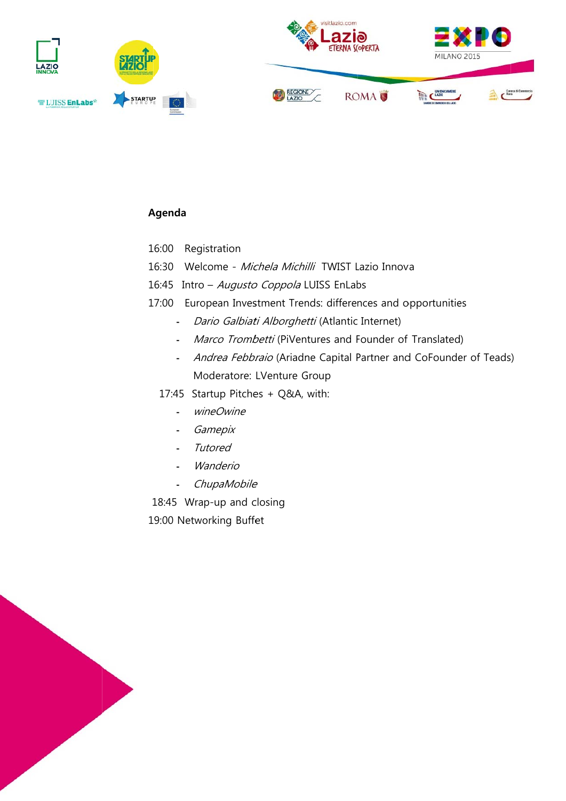

# Agenda

- 16:00 Registration
- 16:30 Welcome Michela Michilli TWIST Lazio Innova
- 16:45 Intro Augusto Coppola LUISS EnLabs
- 17:00 European Investment Trends: differences and opportunities
	- Dario Galbiati Alborghetti (Atlantic Internet)
	- Marco Trombetti (PiVentures and Founder of Translated)
	- Andrea Febbraio (Ariadne Capital Partner and CoFounder of Teads) Moderatore: LVenture Group
	- 17:45 Startup Pitches + Q&A, with:
		- wineOwine  $\mathbf{L}^{\mathbf{r}}$
		- Gamepix  $\omega_{\rm{max}}$
		- Tutored  $\omega_{\rm{max}}$
		- Wanderio  $\Delta \sim 10^4$
		- ChupaMobile  $\overline{a}$

18:45 Wrap-up and closing 19:00 Networking Buffet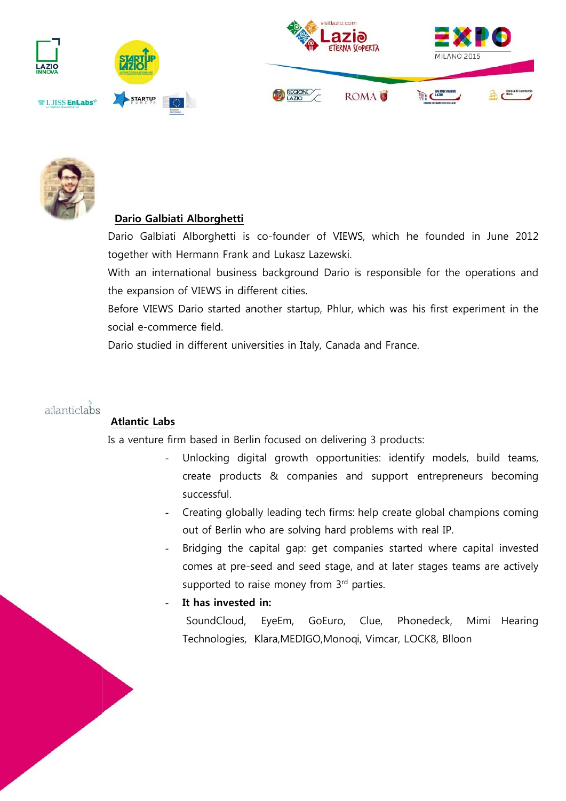



### Dario Galbiati Alborghetti

Dario Galbiati Alborghetti is co-founder of VIEWS, which he founded in June 2012 together with Hermann Frank and Lukasz Lazewski.

With an international business background Dario is responsible for the operations and the expansion of VIEWS in different cities.

Before VIEWS Dario started another startup, Phlur, which was his first experiment in the social e-commerce field.

Dario studied in different universities in Italy, Canada and France.



# **Atlantic Labs**

Is a venture firm based in Berlin focused on delivering 3 products:

- Unlocking digital growth opportunities: identify models, build teams, create products & companies and support entrepreneurs becoming successful.
- Creating globally leading tech firms: help create global champions coming out of Berlin who are solving hard problems with real IP.
- Bridging the capital gap: get companies started where capital invested comes at pre-seed and seed stage, and at later stages teams are actively supported to raise money from 3rd parties.

### It has invested in:

SoundCloud, EyeEm, GoEuro, Clue, Phonedeck, Mimi Hearing Technologies, Klara, MEDIGO, Monogi, Vimcar, LOCK8, Blloon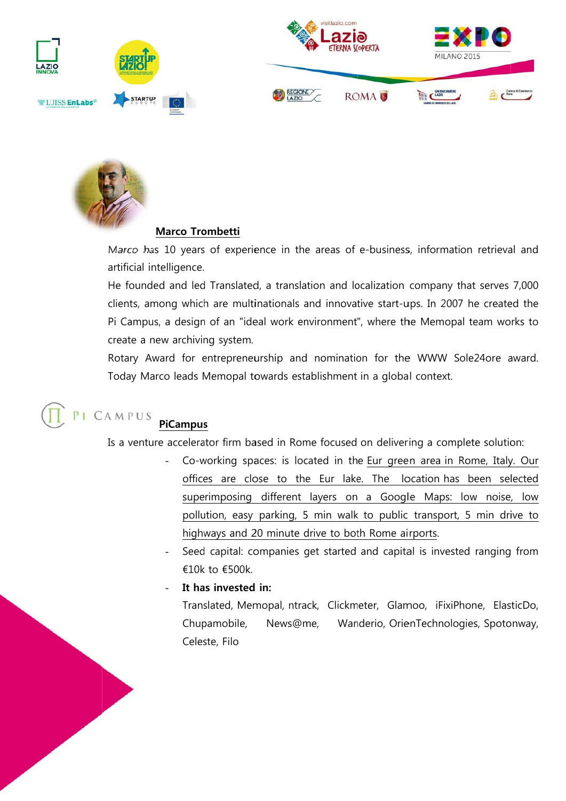



#### **Marco Tro ombetti**

Marco has 10 years of experience in the areas of e-business, information retrieval and artificial intelligence.

He founded and led Translated, a translation and localization company that serves 7,000 clients, among which are multinationals and innovative start-ups. In 2007 he created the Pi Campus, a design of an "ideal work environment", where the Memopal team works to create a new archiving system.

Rotary Award for entrepreneurship and nomination for the WWW Sole24ore award. Today Marco leads Memopal towards establishment in a global context.

#### PICAMPUS  **PiCampus s**

Is a venture accelerator firm based in Rome focused on delivering a complete solution:

- Co-working spaces: is located in the Eur green area in Rome, Italy. Our offices are close to the Eur lake. The location has been selected superimposing different layers on a Google Maps: low noise, low pollution, easy parking, 5 min walk to public transport, 5 min drive to highways and 20 minute drive to both Rome airports.
- Seed capital: companies get started and capital is invested ranging from €10k k to €500k.

#### - It has invested in:

Trans slated, Mem mopal, ntra ck, Clickm eter, Glam moo, iFixiP hone, Elas ticDo, Chup pamobile, Celes ste, Filo News@m me, Wanderio, OrienTechnologies, Spotonway,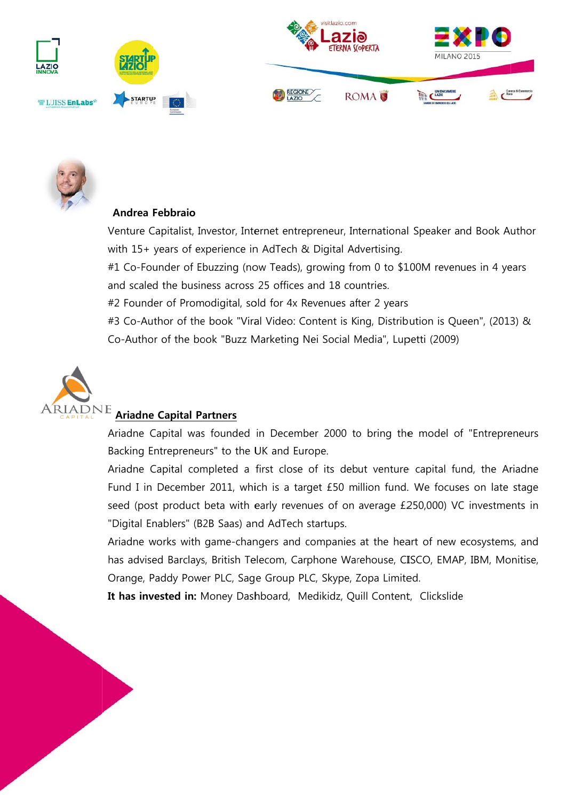



# Andrea Febbraio

Venture Capitalist, Investor, Internet entrepreneur, International Speaker and Book Author with 15+ years of experience in AdTech & Digital Advertising.

#1 Co-Founder of Ebuzzing (now Teads), growing from 0 to \$100M revenues in 4 years and scaled the business across 25 offices and 18 countries.

#2 Founder of Promodigital, sold for 4x Revenues after 2 years

#3 Co-Author of the book "Viral Video: Content is King, Distribution is Queen", (2013) & Co-Author of the book "Buzz Marketing Nei Social Media", Lupetti (2009)



# **ARIADNE** Ariadne Capital Partners

Ariadne Capital was founded in December 2000 to bring the model of "Entrepreneurs" Backing Entrepreneurs" to the UK and Europe.

Ariadne Capital completed a first close of its debut venture capital fund, the Ariadne Fund I in December 2011, which is a target £50 million fund. We focuses on late stage seed (post product beta with early revenues of on average £250,000) VC investments in "Digital Enablers" (B2B Saas) and AdTech startups.

Ariadne works with game-changers and companies at the heart of new ecosystems, and has advised Barclays, British Telecom, Carphone Warehouse, CISCO, EMAP, IBM, Monitise, Orange, Paddy Power PLC, Sage Group PLC, Skype, Zopa Limited.

It has invested in: Money Dashboard, Medikidz, Quill Content, Clickslide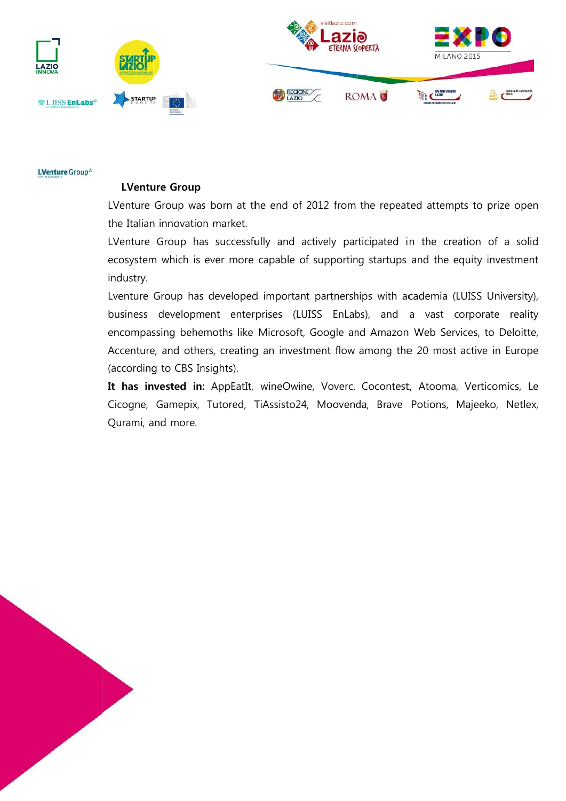

**LVenture** Group\*

#### **LVenture Group**

LVenture Group was born at the end of 2012 from the repeated attempts to prize open the Italian innovation market.

LVenture Group has successfully and actively participated in the creation of a solid ecosystem which is ever more capable of supporting startups and the equity investment industry.

Lventure Group has developed important partnerships with academia (LUISS University), business development enterprises (LUISS EnLabs), and a vast corporate reality encompassing behemoths like Microsoft, Google and Amazon Web Services, to Deloitte, Accenture, and others, creating an investment flow among the 20 most active in Europe (according to CBS Insights).

It has invested in: AppEatIt, wineOwine, Voverc, Cocontest, Atooma, Verticomics, Le Cicogne, Gamepix, Tutored, TiAssisto24, Moovenda, Brave Potions, Majeeko, Netlex, Qurami, and more.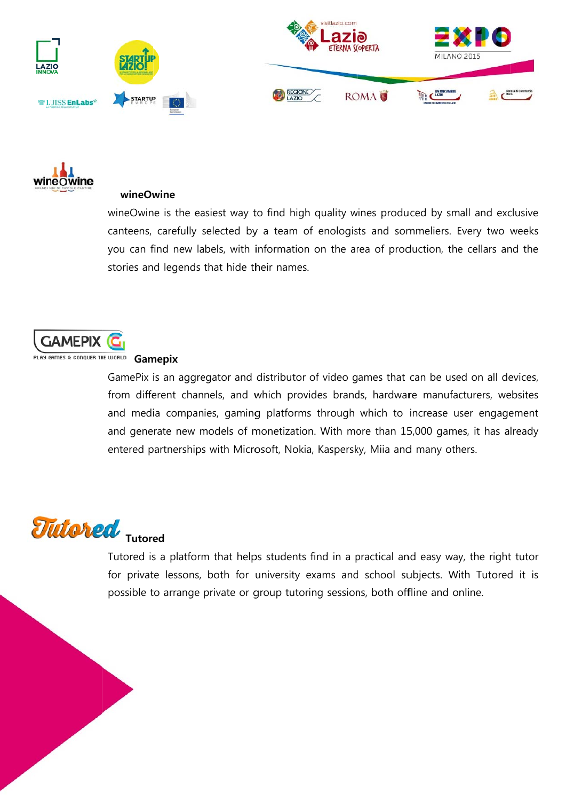



#### wineOwine

wineOwine is the easiest way to find high quality wines produced by small and exclusive canteens, carefully selected by a team of enologists and sommeliers. Every two weeks you can find new labels, with information on the area of production, the cellars and the stories and legends that hide their names.



# PLAY GAMES & CONQUER THE WORLD! Gamenix

GamePix is an aggregator and distributor of video games that can be used on all devices, from different channels, and which provides brands, hardware manufacturers, websites and media companies, gaming platforms through which to increase user engagement and generate new models of monetization. With more than 15,000 games, it has already entered partnerships with Microsoft, Nokia, Kaspersky, Miia and many others.



Tutored is a platform that helps students find in a practical and easy way, the right tutor for private lessons, both for university exams and school subjects. With Tutored it is possible to arrange private or group tutoring sessions, both offline and online.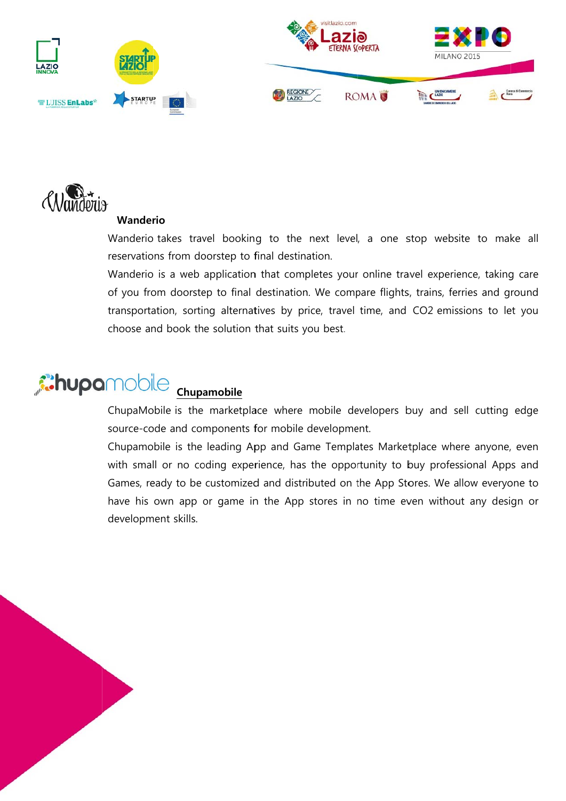



# Wanderio

Wanderio takes travel booking to the next level, a one stop website to make all reservations from doorstep to final destination.

Wanderio is a web application that completes your online travel experience, taking care of you from doorstep to final destination. We compare flights, trains, ferries and ground transportation, sorting alternatives by price, travel time, and CO2 emissions to let you choose and book the solution that suits you best.

### **Chupamobile** Chupamobile

ChupaMobile is the marketplace where mobile developers buy and sell cutting edge source-code and components for mobile development.

Chupamobile is the leading App and Game Templates Marketplace where anyone, even with small or no coding experience, has the opportunity to buy professional Apps and Games, ready to be customized and distributed on the App Stores. We allow everyone to have his own app or game in the App stores in no time even without any design or development skills.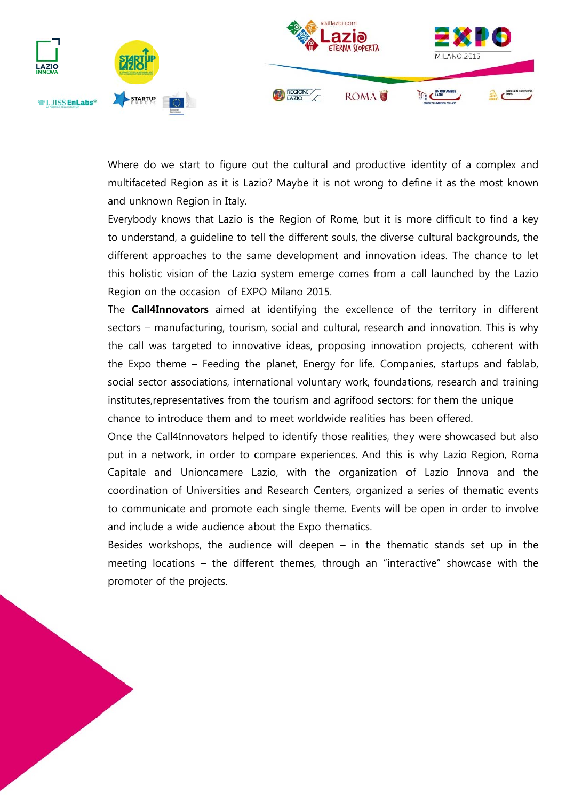

Where do we start to figure out the cultural and productive identity of a complex and multifaceted Region as it is Lazio? Maybe it is not wrong to define it as the most known and unknown Region in Italy.

Everybody knows that Lazio is the Region of Rome, but it is more difficult to find a key to understand, a quideline to tell the different souls, the diverse cultural backgrounds, the different approaches to the same development and innovation ideas. The chance to let this holistic vision of the Lazio system emerge comes from a call launched by the Lazio Region on the occasion of EXPO Milano 2015.

The **Call4Innovators** aimed at identifying the excellence of the territory in different sectors – manufacturing, tourism, social and cultural, research and innovation. This is why the call was targeted to innovative ideas, proposing innovation projects, coherent with the Expo theme – Feeding the planet, Energy for life. Companies, startups and fablab, social sector associations, international voluntary work, foundations, research and training institutes, representatives from the tourism and agrifood sectors: for them the unique chance to introduce them and to meet worldwide realities has been offered.

Once the Call4Innovators helped to identify those realities, they were showcased but also put in a network, in order to compare experiences. And this is why Lazio Region, Roma Capitale and Unioncamere Lazio, with the organization of Lazio Innova and the coordination of Universities and Research Centers, organized a series of thematic events to communicate and promote each single theme. Events will be open in order to involve and include a wide audience about the Expo thematics.

Besides workshops, the audience will deepen  $-$  in the thematic stands set up in the meeting locations – the different themes, through an "interactive" showcase with the promoter of the projects.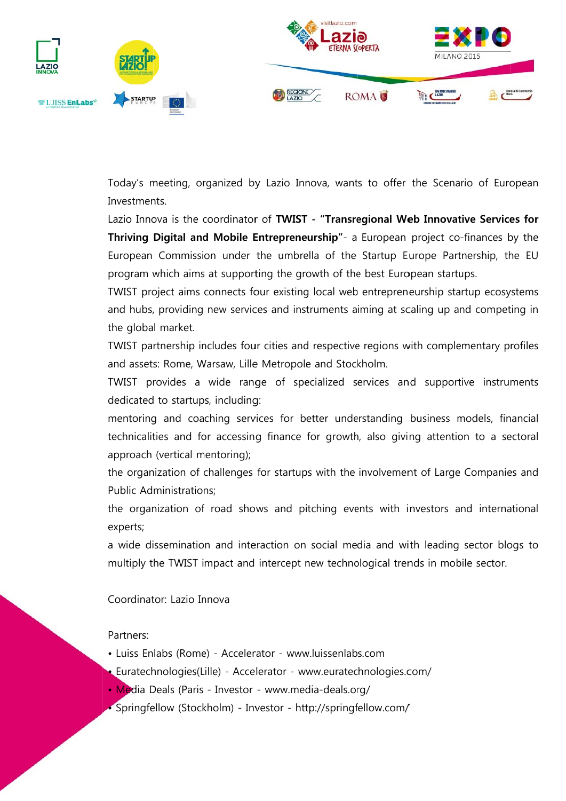

Today's meeting, organized by Lazio Innova, wants to offer the Scenario of European Investments.

Lazio Innova is the coordinator of TWIST - "Transregional Web Innovative Services for Thriving Digital and Mobile Entrepreneurship"- a European project co-finances by the European Commission under the umbrella of the Startup Europe Partnership, the EU program which aims at supporting the growth of the best European startups.

TWIST project aims connects four existing local web entrepreneurship startup ecosystems and hubs, providing new services and instruments aiming at scaling up and competing in the global market.

TWIST partnership includes four cities and respective regions with complementary profiles and assets: Rome, Warsaw, Lille Metropole and Stockholm.

TWIST provides a wide range of specialized services and supportive instruments dedicated to startups, including:

mentoring and coaching services for better understanding business models, financial technicalities and for accessing finance for growth, also giving attention to a sectoral approach (vertical mentoring);

the organization of challenges for startups with the involvement of Large Companies and **Public Administrations:** 

the organization of road shows and pitching events with investors and international experts;

a wide dissemination and interaction on social media and with leading sector blogs to multiply the TWIST impact and intercept new technological trends in mobile sector.

Coordinator: Lazio Innova

#### Partners:

- Luiss Enlabs (Rome) Accelerator www.luissenlabs.com
- Euratechnologies(Lille) Accelerator www.euratechnologies.com/
- Media Deals (Paris Investor www.media-deals.org/
- · Springfellow (Stockholm) Investor http://springfellow.com/